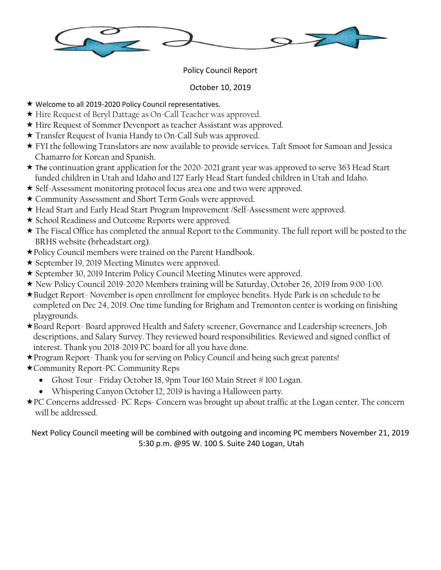

## Policy Council Report

## October 10, 2019

- ★ Welcome to all 2019-2020 Policy Council representatives.
- Hire Request of Beryl Dattage as On-Call Teacher was approved.
- Hire Request of Sommer Devenport as teacher Assistant was approved.
- Transfer Request of Ivania Handy to On-Call Sub was approved.
- FYI the following Translators are now available to provide services. Taft Smoot for Samoan and Jessica Chamarro for Korean and Spanish.
- The continuation grant application for the 2020-2021 grant year was approved to serve 363 Head Start funded children in Utah and Idaho and 127 Early Head Start funded children in Utah and Idaho.
- Self-Assessment monitoring protocol focus area one and two were approved.
- Community Assessment and Short Term Goals were approved.
- Head Start and Early Head Start Program Improvement /Self-Assessment were approved.
- \* School Readiness and Outcome Reports were approved.
- The Fiscal Office has completed the annual Report to the Community. The full report will be posted to the BRHS website (brheadstart.org).
- Policy Council members were trained on the Parent Handbook.
- \* September 19, 2019 Meeting Minutes were approved.
- September 30, 2019 Interim Policy Council Meeting Minutes were approved.
- New Policy Council 2019-2020 Members training will be Saturday, October 26, 2019 from 9:00-1:00.
- Budget Report- November is open enrollment for employee benefits. Hyde Park is on schedule to be completed on Dec 24, 2019. One time funding for Brigham and Tremonton center is working on finishing playgrounds.
- Board Report- Board approved Health and Safety screener, Governance and Leadership screeners, Job descriptions, and Salary Survey. They reviewed board responsibilities. Reviewed and signed conflict of interest. Thank you 2018-2019 PC board for all you have done.
- \* Program Report-Thank you for serving on Policy Council and being such great parents!
- Community Report-PC Community Reps
	- Ghost Tour Friday October 18, 9pm Tour 160 Main Street #100 Logan.
	- Whispering Canyon October 12, 2019 is having a Halloween party.
- PC Concerns addressed- PC Reps- Concern was brought up about traffic at the Logan center. The concern will be addressed.

Next Policy Council meeting will be combined with outgoing and incoming PC members November 21, 2019 5:30 p.m. @95 W. 100 S. Suite 240 Logan, Utah